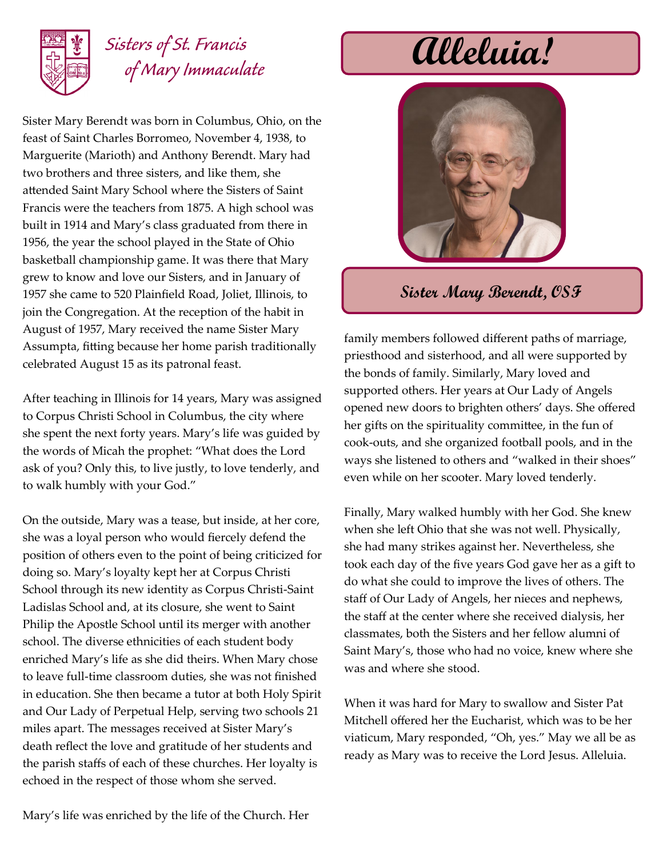

## *Sisters of St. Francis of Mary Immaculate*

Sister Mary Berendt was born in Columbus, Ohio, on the feast of Saint Charles Borromeo, November 4, 1938, to Marguerite (Marioth) and Anthony Berendt. Mary had two brothers and three sisters, and like them, she attended Saint Mary School where the Sisters of Saint Francis were the teachers from 1875. A high school was built in 1914 and Mary's class graduated from there in 1956, the year the school played in the State of Ohio basketball championship game. It was there that Mary grew to know and love our Sisters, and in January of 1957 she came to 520 Plainfield Road, Joliet, Illinois, to join the Congregation. At the reception of the habit in August of 1957, Mary received the name Sister Mary Assumpta, fitting because her home parish traditionally celebrated August 15 as its patronal feast.

After teaching in Illinois for 14 years, Mary was assigned to Corpus Christi School in Columbus, the city where she spent the next forty years. Mary's life was guided by the words of Micah the prophet: "What does the Lord ask of you? Only this, to live justly, to love tenderly, and to walk humbly with your God."

On the outside, Mary was a tease, but inside, at her core, she was a loyal person who would fiercely defend the position of others even to the point of being criticized for doing so. Mary's loyalty kept her at Corpus Christi School through its new identity as Corpus Christi-Saint Ladislas School and, at its closure, she went to Saint Philip the Apostle School until its merger with another school. The diverse ethnicities of each student body enriched Mary's life as she did theirs. When Mary chose to leave full-time classroom duties, she was not finished in education. She then became a tutor at both Holy Spirit and Our Lady of Perpetual Help, serving two schools 21 miles apart. The messages received at Sister Mary's death reflect the love and gratitude of her students and the parish staffs of each of these churches. Her loyalty is echoed in the respect of those whom she served.



**Sister Mary Berendt, OSF**

family members followed different paths of marriage, priesthood and sisterhood, and all were supported by the bonds of family. Similarly, Mary loved and supported others. Her years at Our Lady of Angels opened new doors to brighten others' days. She offered her gifts on the spirituality committee, in the fun of cook-outs, and she organized football pools, and in the ways she listened to others and "walked in their shoes" even while on her scooter. Mary loved tenderly.

Finally, Mary walked humbly with her God. She knew when she left Ohio that she was not well. Physically, she had many strikes against her. Nevertheless, she took each day of the five years God gave her as a gift to do what she could to improve the lives of others. The staff of Our Lady of Angels, her nieces and nephews, the staff at the center where she received dialysis, her classmates, both the Sisters and her fellow alumni of Saint Mary's, those who had no voice, knew where she was and where she stood.

When it was hard for Mary to swallow and Sister Pat Mitchell offered her the Eucharist, which was to be her viaticum, Mary responded, "Oh, yes." May we all be as ready as Mary was to receive the Lord Jesus. Alleluia.